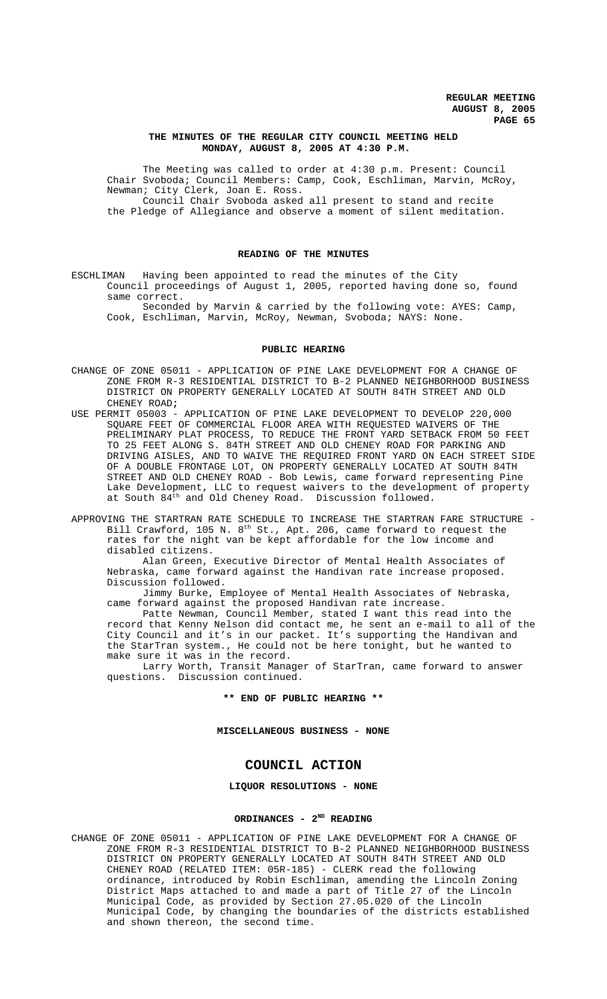# **THE MINUTES OF THE REGULAR CITY COUNCIL MEETING HELD MONDAY, AUGUST 8, 2005 AT 4:30 P.M.**

The Meeting was called to order at 4:30 p.m. Present: Council Chair Svoboda; Council Members: Camp, Cook, Eschliman, Marvin, McRoy, Newman; City Clerk, Joan E. Ross.

Council Chair Svoboda asked all present to stand and recite the Pledge of Allegiance and observe a moment of silent meditation.

# **READING OF THE MINUTES**

ESCHLIMAN Having been appointed to read the minutes of the City Council proceedings of August 1, 2005, reported having done so, found same correct.

Seconded by Marvin & carried by the following vote: AYES: Camp, Cook, Eschliman, Marvin, McRoy, Newman, Svoboda; NAYS: None.

## **PUBLIC HEARING**

- CHANGE OF ZONE 05011 APPLICATION OF PINE LAKE DEVELOPMENT FOR A CHANGE OF ZONE FROM R-3 RESIDENTIAL DISTRICT TO B-2 PLANNED NEIGHBORHOOD BUSINESS DISTRICT ON PROPERTY GENERALLY LOCATED AT SOUTH 84TH STREET AND OLD CHENEY ROAD**;**
- USE PERMIT 05003 APPLICATION OF PINE LAKE DEVELOPMENT TO DEVELOP 220,000 SQUARE FEET OF COMMERCIAL FLOOR AREA WITH REQUESTED WAIVERS OF THE PRELIMINARY PLAT PROCESS, TO REDUCE THE FRONT YARD SETBACK FROM 50 FEET TO 25 FEET ALONG S. 84TH STREET AND OLD CHENEY ROAD FOR PARKING AND DRIVING AISLES, AND TO WAIVE THE REQUIRED FRONT YARD ON EACH STREET SIDE OF A DOUBLE FRONTAGE LOT, ON PROPERTY GENERALLY LOCATED AT SOUTH 84TH STREET AND OLD CHENEY ROAD - Bob Lewis, came forward representing Pine Lake Development, LLC to request waivers to the development of property at South 84<sup>th</sup> and Old Cheney Road. Discussion followed.

APPROVING THE STARTRAN RATE SCHEDULE TO INCREASE THE STARTRAN FARE STRUCTURE - Bill Crawford, 105 N.  $8^{th}$  St., Apt. 206, came forward to request the rates for the night van be kept affordable for the low income and disabled citizens.

Alan Green, Executive Director of Mental Health Associates of Nebraska, came forward against the Handivan rate increase proposed. Discussion followed.

Jimmy Burke, Employee of Mental Health Associates of Nebraska, came forward against the proposed Handivan rate increase.

Patte Newman, Council Member, stated I want this read into the record that Kenny Nelson did contact me, he sent an e-mail to all of the City Council and it's in our packet. It's supporting the Handivan and the StarTran system., He could not be here tonight, but he wanted to make sure it was in the record.

Larry Worth, Transit Manager of StarTran, came forward to answer questions. Discussion continued.

**\*\* END OF PUBLIC HEARING \*\***

**MISCELLANEOUS BUSINESS - NONE**

# **COUNCIL ACTION**

**LIQUOR RESOLUTIONS - NONE**

## ORDINANCES - 2<sup>ND</sup> READING

CHANGE OF ZONE 05011 - APPLICATION OF PINE LAKE DEVELOPMENT FOR A CHANGE OF ZONE FROM R-3 RESIDENTIAL DISTRICT TO B-2 PLANNED NEIGHBORHOOD BUSINESS DISTRICT ON PROPERTY GENERALLY LOCATED AT SOUTH 84TH STREET AND OLD CHENEY ROAD (RELATED ITEM: 05R-185) - CLERK read the following ordinance, introduced by Robin Eschliman, amending the Lincoln Zoning District Maps attached to and made a part of Title 27 of the Lincoln Municipal Code, as provided by Section 27.05.020 of the Lincoln Municipal Code, by changing the boundaries of the districts established and shown thereon, the second time.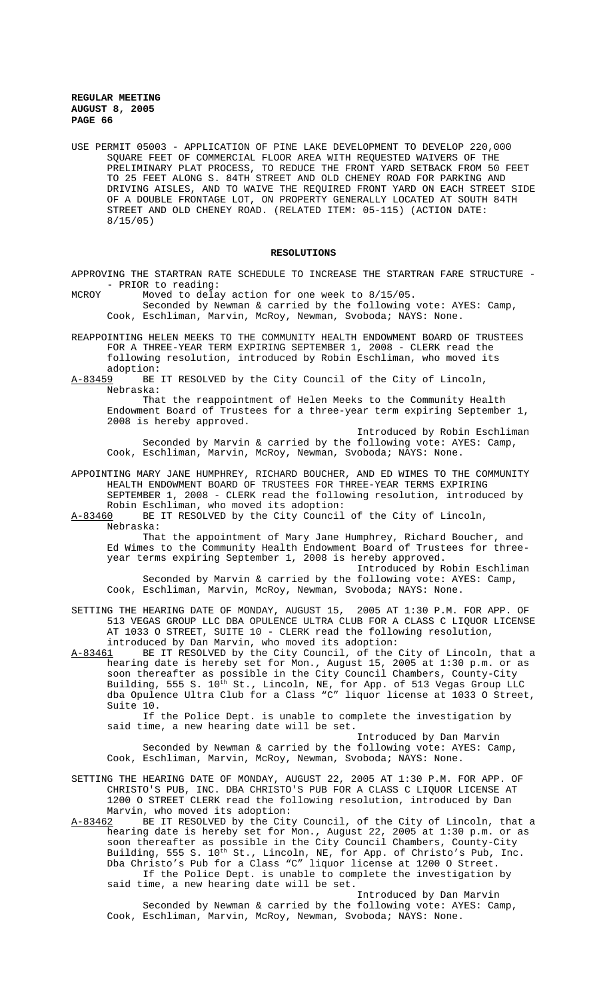USE PERMIT 05003 - APPLICATION OF PINE LAKE DEVELOPMENT TO DEVELOP 220,000 SQUARE FEET OF COMMERCIAL FLOOR AREA WITH REQUESTED WAIVERS OF THE PRELIMINARY PLAT PROCESS, TO REDUCE THE FRONT YARD SETBACK FROM 50 FEET TO 25 FEET ALONG S. 84TH STREET AND OLD CHENEY ROAD FOR PARKING AND DRIVING AISLES, AND TO WAIVE THE REQUIRED FRONT YARD ON EACH STREET SIDE OF A DOUBLE FRONTAGE LOT, ON PROPERTY GENERALLY LOCATED AT SOUTH 84TH STREET AND OLD CHENEY ROAD. (RELATED ITEM: 05-115) (ACTION DATE: 8/15/05)

# **RESOLUTIONS**

APPROVING THE STARTRAN RATE SCHEDULE TO INCREASE THE STARTRAN FARE STRUCTURE - - PRIOR to reading:

MCROY Moved to delay action for one week to 8/15/05. Seconded by Newman & carried by the following vote: AYES: Camp, Cook, Eschliman, Marvin, McRoy, Newman, Svoboda; NAYS: None.

REAPPOINTING HELEN MEEKS TO THE COMMUNITY HEALTH ENDOWMENT BOARD OF TRUSTEES FOR A THREE-YEAR TERM EXPIRING SEPTEMBER 1, 2008 - CLERK read the following resolution, introduced by Robin Eschliman, who moved its adoption:

A-83459 BE IT RESOLVED by the City Council of the City of Lincoln, Nebraska:

That the reappointment of Helen Meeks to the Community Health Endowment Board of Trustees for a three-year term expiring September 1, 2008 is hereby approved.

Introduced by Robin Eschliman Seconded by Marvin & carried by the following vote: AYES: Camp, Cook, Eschliman, Marvin, McRoy, Newman, Svoboda; NAYS: None.

APPOINTING MARY JANE HUMPHREY, RICHARD BOUCHER, AND ED WIMES TO THE COMMUNITY HEALTH ENDOWMENT BOARD OF TRUSTEES FOR THREE-YEAR TERMS EXPIRING SEPTEMBER 1, 2008 - CLERK read the following resolution, introduced by

Robin Eschliman, who moved its adoption:<br>A-83460 BE IT RESOLVED by the City Council BE IT RESOLVED by the City Council of the City of Lincoln, Nebraska:

That the appointment of Mary Jane Humphrey, Richard Boucher, and Ed Wimes to the Community Health Endowment Board of Trustees for threeyear terms expiring September 1, 2008 is hereby approved.

Introduced by Robin Eschliman Seconded by Marvin & carried by the following vote: AYES: Camp, Cook, Eschliman, Marvin, McRoy, Newman, Svoboda; NAYS: None.

SETTING THE HEARING DATE OF MONDAY, AUGUST 15, 2005 AT 1:30 P.M. FOR APP. OF 513 VEGAS GROUP LLC DBA OPULENCE ULTRA CLUB FOR A CLASS C LIQUOR LICENSE AT 1033 O STREET, SUITE 10 - CLERK read the following resolution, introduced by Dan Marvin, who moved its adoption:<br>A-83461 BE IT RESOLVED by the City Council, of the

BE IT RESOLVED by the City Council, of the City of Lincoln, that a hearing date is hereby set for Mon., August 15, 2005 at 1:30 p.m. or as soon thereafter as possible in the City Council Chambers, County-City Building, 555 S. 10<sup>th</sup> St., Lincoln, NE, for App. of 513 Vegas Group LLC dba Opulence Ultra Club for a Class "C" liquor license at 1033 O Street, Suite 10.

If the Police Dept. is unable to complete the investigation by said time, a new hearing date will be set.

Introduced by Dan Marvin Seconded by Newman & carried by the following vote: AYES: Camp, Cook, Eschliman, Marvin, McRoy, Newman, Svoboda; NAYS: None.

SETTING THE HEARING DATE OF MONDAY, AUGUST 22, 2005 AT 1:30 P.M. FOR APP. OF CHRISTO'S PUB, INC. DBA CHRISTO'S PUB FOR A CLASS C LIQUOR LICENSE AT 1200 O STREET CLERK read the following resolution, introduced by Dan Marvin, who moved its adoption:<br>A-83462 BE IT RESOLVED by the Cit

BE IT RESOLVED by the City Council, of the City of Lincoln, that a hearing date is hereby set for Mon., August 22, 2005 at 1:30 p.m. or as soon thereafter as possible in the City Council Chambers, County-City Building, 555 S. 10<sup>th</sup> St., Lincoln, NE, for App. of Christo's Pub, Inc. Dba Christo's Pub for a Class "C" liquor license at 1200 O Street. If the Police Dept. is unable to complete the investigation by said time, a new hearing date will be set.

Introduced by Dan Marvin Seconded by Newman & carried by the following vote: AYES: Camp, Cook, Eschliman, Marvin, McRoy, Newman, Svoboda; NAYS: None.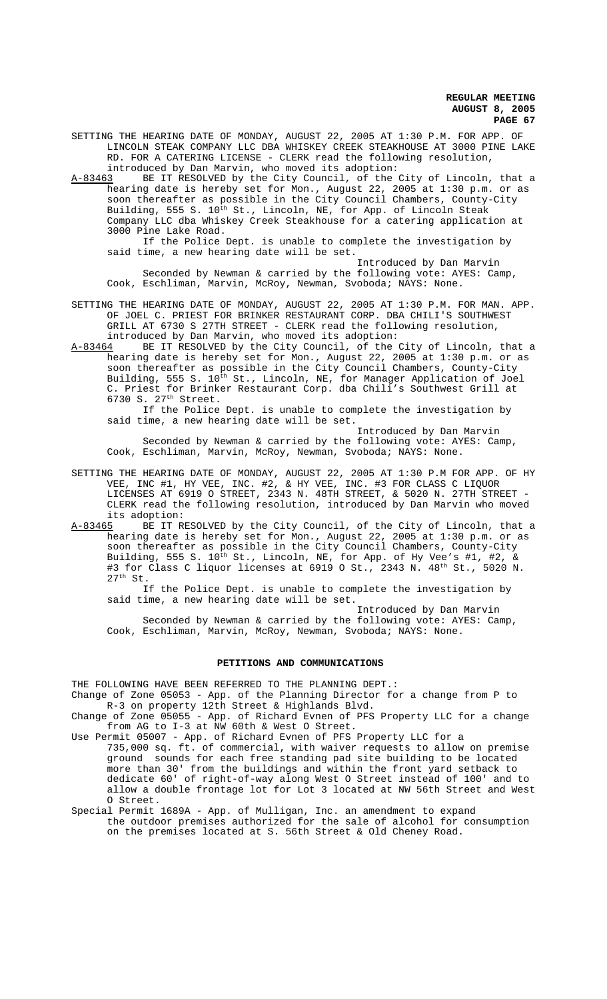SETTING THE HEARING DATE OF MONDAY, AUGUST 22, 2005 AT 1:30 P.M. FOR APP. OF LINCOLN STEAK COMPANY LLC DBA WHISKEY CREEK STEAKHOUSE AT 3000 PINE LAKE RD. FOR A CATERING LICENSE - CLERK read the following resolution, introduced by Dan Marvin, who moved its adoption:

A-83463 BE IT RESOLVED by the City Council, of the City of Lincoln, that a hearing date is hereby set for Mon., August 22, 2005 at 1:30 p.m. or as soon thereafter as possible in the City Council Chambers, County-City Building, 555 S. 10<sup>th</sup> St., Lincoln, NE, for App. of Lincoln Steak Company LLC dba Whiskey Creek Steakhouse for a catering application at 3000 Pine Lake Road.

If the Police Dept. is unable to complete the investigation by said time, a new hearing date will be set.

Introduced by Dan Marvin Seconded by Newman & carried by the following vote: AYES: Camp, Cook, Eschliman, Marvin, McRoy, Newman, Svoboda; NAYS: None.

SETTING THE HEARING DATE OF MONDAY, AUGUST 22, 2005 AT 1:30 P.M. FOR MAN. APP. OF JOEL C. PRIEST FOR BRINKER RESTAURANT CORP. DBA CHILI'S SOUTHWEST GRILL AT 6730 S 27TH STREET - CLERK read the following resolution,

introduced by Dan Marvin, who moved its adoption:<br>A-83464 BE IT RESOLVED by the City Council, of the BE IT RESOLVED by the City Council, of the City of Lincoln, that a hearing date is hereby set for Mon., August 22, 2005 at 1:30 p.m. or as soon thereafter as possible in the City Council Chambers, County-City Building, 555 S. 10<sup>th</sup> St., Lincoln, NE, for Manager Application of Joel C. Priest for Brinker Restaurant Corp. dba Chili's Southwest Grill at 6730 S. 27th Street.

If the Police Dept. is unable to complete the investigation by said time, a new hearing date will be set.

Introduced by Dan Marvin Seconded by Newman & carried by the following vote: AYES: Camp, Cook, Eschliman, Marvin, McRoy, Newman, Svoboda; NAYS: None.

SETTING THE HEARING DATE OF MONDAY, AUGUST 22, 2005 AT 1:30 P.M FOR APP. OF HY VEE, INC #1, HY VEE, INC. #2, & HY VEE, INC. #3 FOR CLASS C LIQUOR LICENSES AT 6919 O STREET, 2343 N. 48TH STREET, & 5020 N. 27TH STREET - CLERK read the following resolution, introduced by Dan Marvin who moved its adoption:<br><u>A-83465</u> BE IT R

BE IT RESOLVED by the City Council, of the City of Lincoln, that a hearing date is hereby set for Mon., August 22, 2005 at 1:30 p.m. or as soon thereafter as possible in the City Council Chambers, County-City Building, 555 S.  $10^{\text{th}}$  St., Lincoln, NE, for App. of Hy Vee's #1, #2, & #3 for Class C liquor licenses at 6919 O St., 2343 N.  $48^{\text{th}}$  St., 5020 N.  $27<sup>th</sup>$  St.

If the Police Dept. is unable to complete the investigation by said time, a new hearing date will be set.

Introduced by Dan Marvin Seconded by Newman & carried by the following vote: AYES: Camp, Cook, Eschliman, Marvin, McRoy, Newman, Svoboda; NAYS: None.

# **PETITIONS AND COMMUNICATIONS**

THE FOLLOWING HAVE BEEN REFERRED TO THE PLANNING DEPT.: Change of Zone 05053 - App. of the Planning Director for a change from P to

R-3 on property 12th Street & Highlands Blvd. Change of Zone 05055 - App. of Richard Evnen of PFS Property LLC for a change

from AG to I-3 at NW 60th & West O Street.

- Use Permit 05007 App. of Richard Evnen of PFS Property LLC for a 735,000 sq. ft. of commercial, with waiver requests to allow on premise ground sounds for each free standing pad site building to be located more than 30' from the buildings and within the front yard setback to dedicate 60' of right-of-way along West O Street instead of 100' and to allow a double frontage lot for Lot 3 located at NW 56th Street and West O Street.
- Special Permit 1689A App. of Mulligan, Inc. an amendment to expand the outdoor premises authorized for the sale of alcohol for consumption on the premises located at S. 56th Street & Old Cheney Road.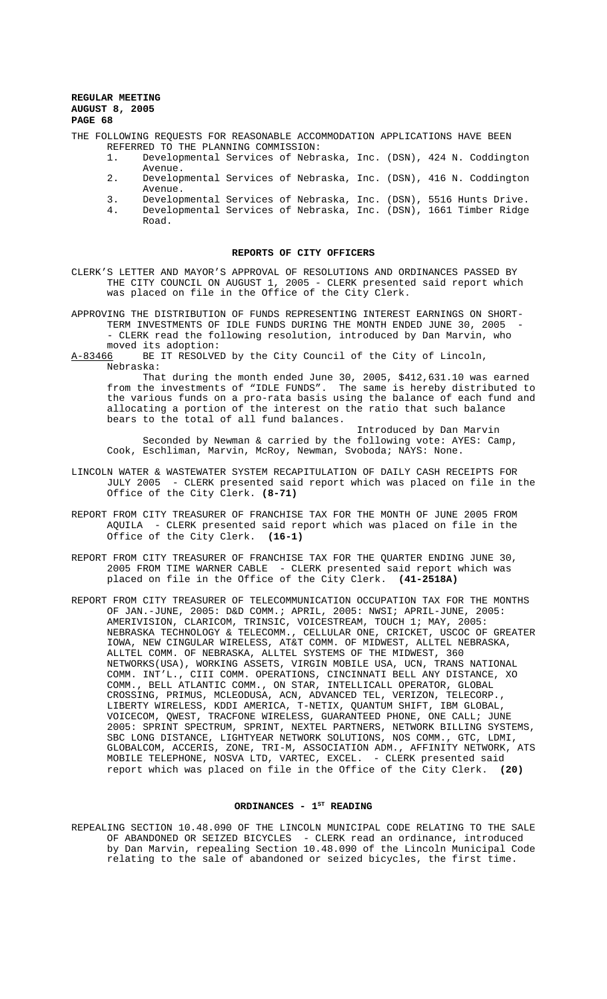THE FOLLOWING REQUESTS FOR REASONABLE ACCOMMODATION APPLICATIONS HAVE BEEN REFERRED TO THE PLANNING COMMISSION:

- 1. Developmental Services of Nebraska, Inc. (DSN), 424 N. Coddington Avenue.
- 2. Developmental Services of Nebraska, Inc. (DSN), 416 N. Coddington Avenue.
- 3. Developmental Services of Nebraska, Inc. (DSN), 5516 Hunts Drive. 4. Developmental Services of Nebraska, Inc. (DSN), 1661 Timber Ridge Road.

# **REPORTS OF CITY OFFICERS**

CLERK'S LETTER AND MAYOR'S APPROVAL OF RESOLUTIONS AND ORDINANCES PASSED BY THE CITY COUNCIL ON AUGUST 1, 2005 - CLERK presented said report which was placed on file in the Office of the City Clerk.

APPROVING THE DISTRIBUTION OF FUNDS REPRESENTING INTEREST EARNINGS ON SHORT-TERM INVESTMENTS OF IDLE FUNDS DURING THE MONTH ENDED JUNE 30, 2005 - CLERK read the following resolution, introduced by Dan Marvin, who moved its adoption:

A-83466 BE IT RESOLVED by the City Council of the City of Lincoln, Nebraska:

That during the month ended June 30, 2005, \$412,631.10 was earned from the investments of "IDLE FUNDS". The same is hereby distributed to the various funds on a pro-rata basis using the balance of each fund and allocating a portion of the interest on the ratio that such balance bears to the total of all fund balances.

Introduced by Dan Marvin Seconded by Newman & carried by the following vote: AYES: Camp, Cook, Eschliman, Marvin, McRoy, Newman, Svoboda; NAYS: None.

- LINCOLN WATER & WASTEWATER SYSTEM RECAPITULATION OF DAILY CASH RECEIPTS FOR JULY 2005 - CLERK presented said report which was placed on file in the Office of the City Clerk. **(8-71)**
- REPORT FROM CITY TREASURER OF FRANCHISE TAX FOR THE MONTH OF JUNE 2005 FROM AQUILA - CLERK presented said report which was placed on file in the Office of the City Clerk. **(16-1)**
- REPORT FROM CITY TREASURER OF FRANCHISE TAX FOR THE QUARTER ENDING JUNE 30, 2005 FROM TIME WARNER CABLE - CLERK presented said report which was placed on file in the Office of the City Clerk. **(41-2518A)**
- REPORT FROM CITY TREASURER OF TELECOMMUNICATION OCCUPATION TAX FOR THE MONTHS OF JAN.-JUNE, 2005: D&D COMM.; APRIL, 2005: NWSI; APRIL-JUNE, 2005: AMERIVISION, CLARICOM, TRINSIC, VOICESTREAM, TOUCH 1; MAY, 2005: NEBRASKA TECHNOLOGY & TELECOMM., CELLULAR ONE, CRICKET, USCOC OF GREATER IOWA, NEW CINGULAR WIRELESS, AT&T COMM. OF MIDWEST, ALLTEL NEBRASKA, ALLTEL COMM. OF NEBRASKA, ALLTEL SYSTEMS OF THE MIDWEST, 360 NETWORKS(USA), WORKING ASSETS, VIRGIN MOBILE USA, UCN, TRANS NATIONAL COMM. INT'L., CIII COMM. OPERATIONS, CINCINNATI BELL ANY DISTANCE, XO COMM., BELL ATLANTIC COMM., ON STAR, INTELLICALL OPERATOR, GLOBAL CROSSING, PRIMUS, MCLEODUSA, ACN, ADVANCED TEL, VERIZON, TELECORP., LIBERTY WIRELESS, KDDI AMERICA, T-NETIX, QUANTUM SHIFT, IBM GLOBAL, VOICECOM, QWEST, TRACFONE WIRELESS, GUARANTEED PHONE, ONE CALL; JUNE 2005: SPRINT SPECTRUM, SPRINT, NEXTEL PARTNERS, NETWORK BILLING SYSTEMS, SBC LONG DISTANCE, LIGHTYEAR NETWORK SOLUTIONS, NOS COMM., GTC, LDMI, GLOBALCOM, ACCERIS, ZONE, TRI-M, ASSOCIATION ADM., AFFINITY NETWORK, ATS MOBILE TELEPHONE, NOSVA LTD, VARTEC, EXCEL. - CLERK presented said report which was placed on file in the Office of the City Clerk. **(20)**

# ORDINANCES - 1<sup>ST</sup> READING

REPEALING SECTION 10.48.090 OF THE LINCOLN MUNICIPAL CODE RELATING TO THE SALE OF ABANDONED OR SEIZED BICYCLES - CLERK read an ordinance, introduced by Dan Marvin, repealing Section 10.48.090 of the Lincoln Municipal Code relating to the sale of abandoned or seized bicycles, the first time.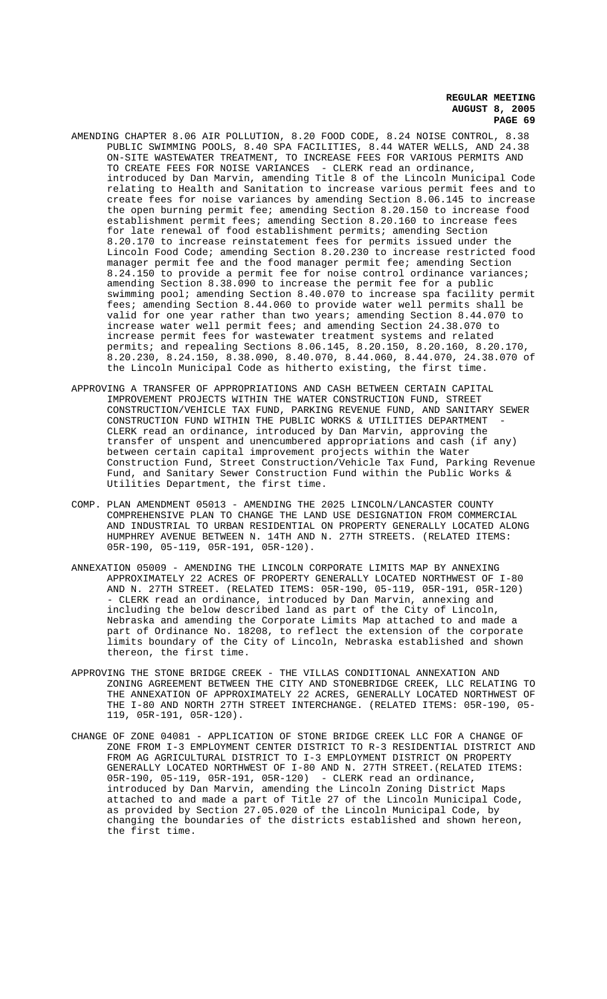- AMENDING CHAPTER 8.06 AIR POLLUTION, 8.20 FOOD CODE, 8.24 NOISE CONTROL, 8.38 PUBLIC SWIMMING POOLS, 8.40 SPA FACILITIES, 8.44 WATER WELLS, AND 24.38 ON-SITE WASTEWATER TREATMENT, TO INCREASE FEES FOR VARIOUS PERMITS AND TO CREATE FEES FOR NOISE VARIANCES - CLERK read an ordinance, introduced by Dan Marvin, amending Title 8 of the Lincoln Municipal Code relating to Health and Sanitation to increase various permit fees and to create fees for noise variances by amending Section 8.06.145 to increase the open burning permit fee; amending Section 8.20.150 to increase food establishment permit fees; amending Section 8.20.160 to increase fees for late renewal of food establishment permits; amending Section 8.20.170 to increase reinstatement fees for permits issued under the Lincoln Food Code; amending Section 8.20.230 to increase restricted food manager permit fee and the food manager permit fee; amending Section 8.24.150 to provide a permit fee for noise control ordinance variances; amending Section 8.38.090 to increase the permit fee for a public swimming pool; amending Section 8.40.070 to increase spa facility permit fees; amending Section 8.44.060 to provide water well permits shall be valid for one year rather than two years; amending Section 8.44.070 to increase water well permit fees; and amending Section 24.38.070 to increase permit fees for wastewater treatment systems and related permits; and repealing Sections 8.06.145, 8.20.150, 8.20.160, 8.20.170, 8.20.230, 8.24.150, 8.38.090, 8.40.070, 8.44.060, 8.44.070, 24.38.070 of the Lincoln Municipal Code as hitherto existing, the first time.
- APPROVING A TRANSFER OF APPROPRIATIONS AND CASH BETWEEN CERTAIN CAPITAL IMPROVEMENT PROJECTS WITHIN THE WATER CONSTRUCTION FUND, STREET CONSTRUCTION/VEHICLE TAX FUND, PARKING REVENUE FUND, AND SANITARY SEWER CONSTRUCTION FUND WITHIN THE PUBLIC WORKS & UTILITIES DEPARTMENT - CLERK read an ordinance, introduced by Dan Marvin, approving the transfer of unspent and unencumbered appropriations and cash (if any) between certain capital improvement projects within the Water Construction Fund, Street Construction/Vehicle Tax Fund, Parking Revenue Fund, and Sanitary Sewer Construction Fund within the Public Works & Utilities Department, the first time.
- COMP. PLAN AMENDMENT 05013 AMENDING THE 2025 LINCOLN/LANCASTER COUNTY COMPREHENSIVE PLAN TO CHANGE THE LAND USE DESIGNATION FROM COMMERCIAL AND INDUSTRIAL TO URBAN RESIDENTIAL ON PROPERTY GENERALLY LOCATED ALONG HUMPHREY AVENUE BETWEEN N. 14TH AND N. 27TH STREETS. (RELATED ITEMS: 05R-190, 05-119, 05R-191, 05R-120).
- ANNEXATION 05009 AMENDING THE LINCOLN CORPORATE LIMITS MAP BY ANNEXING APPROXIMATELY 22 ACRES OF PROPERTY GENERALLY LOCATED NORTHWEST OF I-80 AND N. 27TH STREET. (RELATED ITEMS: 05R-190, 05-119, 05R-191, 05R-120) - CLERK read an ordinance, introduced by Dan Marvin, annexing and including the below described land as part of the City of Lincoln, Nebraska and amending the Corporate Limits Map attached to and made a part of Ordinance No. 18208, to reflect the extension of the corporate limits boundary of the City of Lincoln, Nebraska established and shown thereon, the first time.
- APPROVING THE STONE BRIDGE CREEK THE VILLAS CONDITIONAL ANNEXATION AND ZONING AGREEMENT BETWEEN THE CITY AND STONEBRIDGE CREEK, LLC RELATING TO THE ANNEXATION OF APPROXIMATELY 22 ACRES, GENERALLY LOCATED NORTHWEST OF THE I-80 AND NORTH 27TH STREET INTERCHANGE. (RELATED ITEMS: 05R-190, 05-119, 05R-191, 05R-120).
- CHANGE OF ZONE 04081 APPLICATION OF STONE BRIDGE CREEK LLC FOR A CHANGE OF ZONE FROM I-3 EMPLOYMENT CENTER DISTRICT TO R-3 RESIDENTIAL DISTRICT AND FROM AG AGRICULTURAL DISTRICT TO I-3 EMPLOYMENT DISTRICT ON PROPERTY GENERALLY LOCATED NORTHWEST OF I-80 AND N. 27TH STREET.(RELATED ITEMS: 05R-190, 05-119, 05R-191, 05R-120) - CLERK read an ordinance, introduced by Dan Marvin, amending the Lincoln Zoning District Maps attached to and made a part of Title 27 of the Lincoln Municipal Code, as provided by Section 27.05.020 of the Lincoln Municipal Code, by changing the boundaries of the districts established and shown hereon, the first time.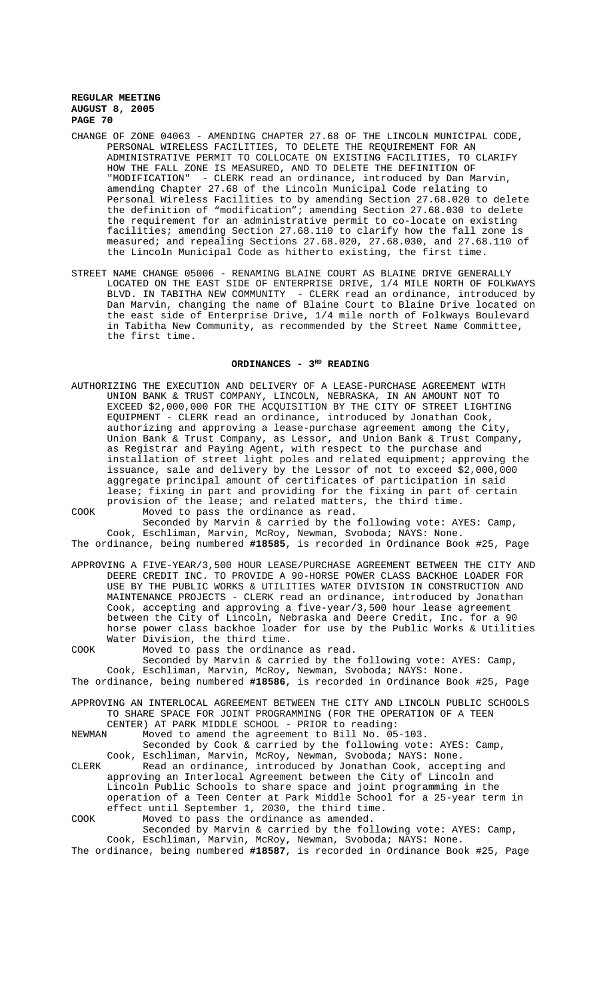- CHANGE OF ZONE 04063 AMENDING CHAPTER 27.68 OF THE LINCOLN MUNICIPAL CODE, PERSONAL WIRELESS FACILITIES, TO DELETE THE REQUIREMENT FOR AN ADMINISTRATIVE PERMIT TO COLLOCATE ON EXISTING FACILITIES, TO CLARIFY HOW THE FALL ZONE IS MEASURED, AND TO DELETE THE DEFINITION OF "MODIFICATION" - CLERK read an ordinance, introduced by Dan Marvin, amending Chapter 27.68 of the Lincoln Municipal Code relating to Personal Wireless Facilities to by amending Section 27.68.020 to delete the definition of "modification"; amending Section 27.68.030 to delete the requirement for an administrative permit to co-locate on existing facilities; amending Section 27.68.110 to clarify how the fall zone is measured; and repealing Sections 27.68.020, 27.68.030, and 27.68.110 of the Lincoln Municipal Code as hitherto existing, the first time.
- STREET NAME CHANGE 05006 RENAMING BLAINE COURT AS BLAINE DRIVE GENERALLY LOCATED ON THE EAST SIDE OF ENTERPRISE DRIVE, 1/4 MILE NORTH OF FOLKWAYS BLVD. IN TABITHA NEW COMMUNITY - CLERK read an ordinance, introduced by Dan Marvin, changing the name of Blaine Court to Blaine Drive located on the east side of Enterprise Drive, 1/4 mile north of Folkways Boulevard in Tabitha New Community, as recommended by the Street Name Committee, the first time.

# ORDINANCES - 3<sup>RD</sup> READING

AUTHORIZING THE EXECUTION AND DELIVERY OF A LEASE-PURCHASE AGREEMENT WITH UNION BANK & TRUST COMPANY, LINCOLN, NEBRASKA, IN AN AMOUNT NOT TO EXCEED \$2,000,000 FOR THE ACQUISITION BY THE CITY OF STREET LIGHTING EQUIPMENT - CLERK read an ordinance, introduced by Jonathan Cook, authorizing and approving a lease-purchase agreement among the City, Union Bank & Trust Company, as Lessor, and Union Bank & Trust Company, as Registrar and Paying Agent, with respect to the purchase and installation of street light poles and related equipment; approving the issuance, sale and delivery by the Lessor of not to exceed \$2,000,000 aggregate principal amount of certificates of participation in said lease; fixing in part and providing for the fixing in part of certain provision of the lease; and related matters, the third time. COOK Moved to pass the ordinance as read.

Seconded by Marvin & carried by the following vote: AYES: Camp, Cook, Eschliman, Marvin, McRoy, Newman, Svoboda; NAYS: None. The ordinance, being numbered **#18585**, is recorded in Ordinance Book #25, Page

- APPROVING A FIVE-YEAR/3,500 HOUR LEASE/PURCHASE AGREEMENT BETWEEN THE CITY AND DEERE CREDIT INC. TO PROVIDE A 90-HORSE POWER CLASS BACKHOE LOADER FOR USE BY THE PUBLIC WORKS & UTILITIES WATER DIVISION IN CONSTRUCTION AND MAINTENANCE PROJECTS - CLERK read an ordinance, introduced by Jonathan Cook, accepting and approving a five-year/3,500 hour lease agreement between the City of Lincoln, Nebraska and Deere Credit, Inc. for a 90 horse power class backhoe loader for use by the Public Works & Utilities Water Division, the third time.
- COOK Moved to pass the ordinance as read. Seconded by Marvin & carried by the following vote: AYES: Camp, Cook, Eschliman, Marvin, McRoy, Newman, Svoboda; NAYS: None. The ordinance, being numbered **#18586**, is recorded in Ordinance Book #25, Page
- APPROVING AN INTERLOCAL AGREEMENT BETWEEN THE CITY AND LINCOLN PUBLIC SCHOOLS TO SHARE SPACE FOR JOINT PROGRAMMING (FOR THE OPERATION OF A TEEN

CENTER) AT PARK MIDDLE SCHOOL - PRIOR to reading:<br>NEWMAN Moved to amend the agreement to Bill No. 05 Moved to amend the agreement to Bill No. 05-103.

- Seconded by Cook & carried by the following vote: AYES: Camp, Cook, Eschliman, Marvin, McRoy, Newman, Svoboda; NAYS: None. CLERK Read an ordinance, introduced by Jonathan Cook, accepting and
- approving an Interlocal Agreement between the City of Lincoln and Lincoln Public Schools to share space and joint programming in the operation of a Teen Center at Park Middle School for a 25-year term in effect until September 1, 2030, the third time. COOK Moved to pass the ordinance as amended.
- Seconded by Marvin & carried by the following vote: AYES: Camp, Cook, Eschliman, Marvin, McRoy, Newman, Svoboda; NAYS: None.
- The ordinance, being numbered **#18587**, is recorded in Ordinance Book #25, Page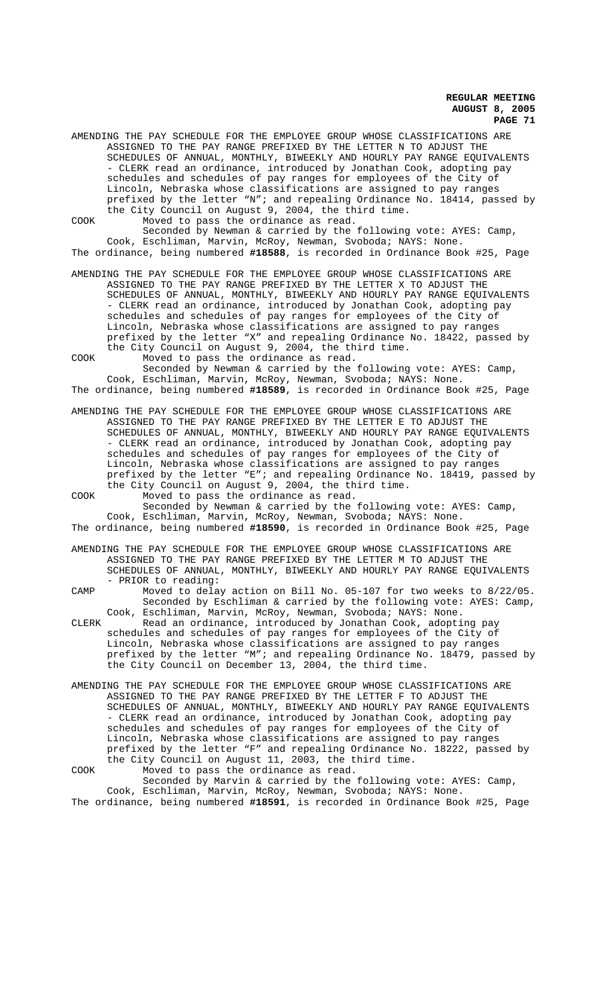AMENDING THE PAY SCHEDULE FOR THE EMPLOYEE GROUP WHOSE CLASSIFICATIONS ARE ASSIGNED TO THE PAY RANGE PREFIXED BY THE LETTER N TO ADJUST THE SCHEDULES OF ANNUAL, MONTHLY, BIWEEKLY AND HOURLY PAY RANGE EQUIVALENTS - CLERK read an ordinance, introduced by Jonathan Cook, adopting pay schedules and schedules of pay ranges for employees of the City of Lincoln, Nebraska whose classifications are assigned to pay ranges prefixed by the letter "N"; and repealing Ordinance No. 18414, passed by the City Council on August 9, 2004, the third time. COOK Moved to pass the ordinance as read.

Seconded by Newman & carried by the following vote: AYES: Camp, Cook, Eschliman, Marvin, McRoy, Newman, Svoboda; NAYS: None. The ordinance, being numbered **#18588**, is recorded in Ordinance Book #25, Page

AMENDING THE PAY SCHEDULE FOR THE EMPLOYEE GROUP WHOSE CLASSIFICATIONS ARE ASSIGNED TO THE PAY RANGE PREFIXED BY THE LETTER X TO ADJUST THE SCHEDULES OF ANNUAL, MONTHLY, BIWEEKLY AND HOURLY PAY RANGE EQUIVALENTS - CLERK read an ordinance, introduced by Jonathan Cook, adopting pay schedules and schedules of pay ranges for employees of the City of Lincoln, Nebraska whose classifications are assigned to pay ranges prefixed by the letter "X" and repealing Ordinance No. 18422, passed by the City Council on August 9, 2004, the third time. COOK Moved to pass the ordinance as read.

Seconded by Newman & carried by the following vote: AYES: Camp, Cook, Eschliman, Marvin, McRoy, Newman, Svoboda; NAYS: None. The ordinance, being numbered **#18589**, is recorded in Ordinance Book #25, Page

AMENDING THE PAY SCHEDULE FOR THE EMPLOYEE GROUP WHOSE CLASSIFICATIONS ARE ASSIGNED TO THE PAY RANGE PREFIXED BY THE LETTER E TO ADJUST THE SCHEDULES OF ANNUAL, MONTHLY, BIWEEKLY AND HOURLY PAY RANGE EQUIVALENTS - CLERK read an ordinance, introduced by Jonathan Cook, adopting pay schedules and schedules of pay ranges for employees of the City of Lincoln, Nebraska whose classifications are assigned to pay ranges prefixed by the letter "E"; and repealing Ordinance No. 18419, passed by the City Council on August 9, 2004, the third time.

COOK Moved to pass the ordinance as read. Seconded by Newman & carried by the following vote: AYES: Camp, Cook, Eschliman, Marvin, McRoy, Newman, Svoboda; NAYS: None. The ordinance, being numbered **#18590**, is recorded in Ordinance Book #25, Page

AMENDING THE PAY SCHEDULE FOR THE EMPLOYEE GROUP WHOSE CLASSIFICATIONS ARE ASSIGNED TO THE PAY RANGE PREFIXED BY THE LETTER M TO ADJUST THE SCHEDULES OF ANNUAL, MONTHLY, BIWEEKLY AND HOURLY PAY RANGE EQUIVALENTS - PRIOR to reading:

CAMP Moved to delay action on Bill No. 05-107 for two weeks to 8/22/05. Seconded by Eschliman & carried by the following vote: AYES: Camp, Cook, Eschliman, Marvin, McRoy, Newman, Svoboda; NAYS: None.

CLERK Read an ordinance, introduced by Jonathan Cook, adopting pay schedules and schedules of pay ranges for employees of the City of Lincoln, Nebraska whose classifications are assigned to pay ranges prefixed by the letter "M"; and repealing Ordinance No. 18479, passed by the City Council on December 13, 2004, the third time.

AMENDING THE PAY SCHEDULE FOR THE EMPLOYEE GROUP WHOSE CLASSIFICATIONS ARE ASSIGNED TO THE PAY RANGE PREFIXED BY THE LETTER F TO ADJUST THE SCHEDULES OF ANNUAL, MONTHLY, BIWEEKLY AND HOURLY PAY RANGE EQUIVALENTS - CLERK read an ordinance, introduced by Jonathan Cook, adopting pay schedules and schedules of pay ranges for employees of the City of Lincoln, Nebraska whose classifications are assigned to pay ranges prefixed by the letter "F" and repealing Ordinance No. 18222, passed by the City Council on August 11, 2003, the third time.

COOK Moved to pass the ordinance as read. Seconded by Marvin & carried by the following vote: AYES: Camp, Cook, Eschliman, Marvin, McRoy, Newman, Svoboda; NAYS: None.

The ordinance, being numbered **#18591**, is recorded in Ordinance Book #25, Page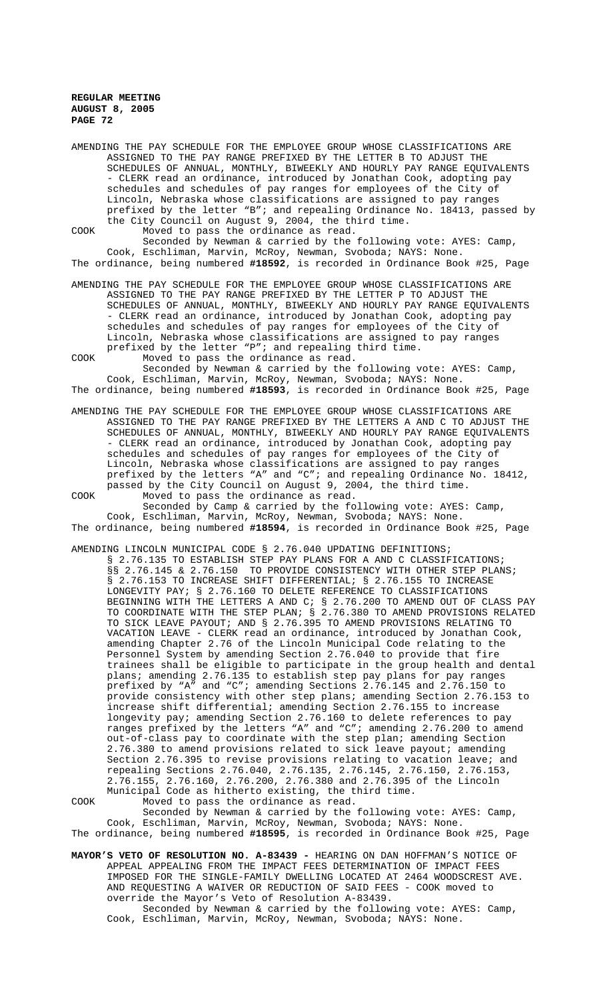AMENDING THE PAY SCHEDULE FOR THE EMPLOYEE GROUP WHOSE CLASSIFICATIONS ARE ASSIGNED TO THE PAY RANGE PREFIXED BY THE LETTER B TO ADJUST THE SCHEDULES OF ANNUAL, MONTHLY, BIWEEKLY AND HOURLY PAY RANGE EQUIVALENTS - CLERK read an ordinance, introduced by Jonathan Cook, adopting pay schedules and schedules of pay ranges for employees of the City of Lincoln, Nebraska whose classifications are assigned to pay ranges prefixed by the letter "B"; and repealing Ordinance No. 18413, passed by the City Council on August 9, 2004, the third time. COOK Moved to pass the ordinance as read.

Seconded by Newman & carried by the following vote: AYES: Camp, Cook, Eschliman, Marvin, McRoy, Newman, Svoboda; NAYS: None. The ordinance, being numbered **#18592**, is recorded in Ordinance Book #25, Page

AMENDING THE PAY SCHEDULE FOR THE EMPLOYEE GROUP WHOSE CLASSIFICATIONS ARE ASSIGNED TO THE PAY RANGE PREFIXED BY THE LETTER P TO ADJUST THE SCHEDULES OF ANNUAL, MONTHLY, BIWEEKLY AND HOURLY PAY RANGE EQUIVALENTS - CLERK read an ordinance, introduced by Jonathan Cook, adopting pay schedules and schedules of pay ranges for employees of the City of Lincoln, Nebraska whose classifications are assigned to pay ranges prefixed by the letter "P"; and repealing third time. COOK Moved to pass the ordinance as read.

Seconded by Newman & carried by the following vote: AYES: Camp, Cook, Eschliman, Marvin, McRoy, Newman, Svoboda; NAYS: None. The ordinance, being numbered **#18593**, is recorded in Ordinance Book #25, Page

- AMENDING THE PAY SCHEDULE FOR THE EMPLOYEE GROUP WHOSE CLASSIFICATIONS ARE ASSIGNED TO THE PAY RANGE PREFIXED BY THE LETTERS A AND C TO ADJUST THE SCHEDULES OF ANNUAL, MONTHLY, BIWEEKLY AND HOURLY PAY RANGE EQUIVALENTS - CLERK read an ordinance, introduced by Jonathan Cook, adopting pay schedules and schedules of pay ranges for employees of the City of Lincoln, Nebraska whose classifications are assigned to pay ranges prefixed by the letters "A" and "C"; and repealing Ordinance No. 18412, passed by the City Council on August 9, 2004, the third time. COOK Moved to pass the ordinance as read.
- Seconded by Camp & carried by the following vote: AYES: Camp, Cook, Eschliman, Marvin, McRoy, Newman, Svoboda; NAYS: None. The ordinance, being numbered **#18594**, is recorded in Ordinance Book #25, Page

AMENDING LINCOLN MUNICIPAL CODE § 2.76.040 UPDATING DEFINITIONS; § 2.76.135 TO ESTABLISH STEP PAY PLANS FOR A AND C CLASSIFICATIONS; §§ 2.76.145 & 2.76.150 TO PROVIDE CONSISTENCY WITH OTHER STEP PLANS; § 2.76.153 TO INCREASE SHIFT DIFFERENTIAL; § 2.76.155 TO INCREASE LONGEVITY PAY; § 2.76.160 TO DELETE REFERENCE TO CLASSIFICATIONS BEGINNING WITH THE LETTERS A AND C; § 2.76.200 TO AMEND OUT OF CLASS PAY TO COORDINATE WITH THE STEP PLAN; § 2.76.380 TO AMEND PROVISIONS RELATED TO SICK LEAVE PAYOUT; AND § 2.76.395 TO AMEND PROVISIONS RELATING TO VACATION LEAVE - CLERK read an ordinance, introduced by Jonathan Cook, amending Chapter 2.76 of the Lincoln Municipal Code relating to the Personnel System by amending Section 2.76.040 to provide that fire trainees shall be eligible to participate in the group health and dental plans; amending 2.76.135 to establish step pay plans for pay ranges prefixed by "A" and "C"; amending Sections 2.76.145 and 2.76.150 to provide consistency with other step plans; amending Section 2.76.153 to increase shift differential; amending Section 2.76.155 to increase longevity pay; amending Section 2.76.160 to delete references to pay ranges prefixed by the letters "A" and "C"; amending 2.76.200 to amend out-of-class pay to coordinate with the step plan; amending Section 2.76.380 to amend provisions related to sick leave payout; amending Section 2.76.395 to revise provisions relating to vacation leave; and repealing Sections 2.76.040, 2.76.135, 2.76.145, 2.76.150, 2.76.153, 2.76.155, 2.76.160, 2.76.200, 2.76.380 and 2.76.395 of the Lincoln Municipal Code as hitherto existing, the third time. COOK Moved to pass the ordinance as read.

Seconded by Newman & carried by the following vote: AYES: Camp, Cook, Eschliman, Marvin, McRoy, Newman, Svoboda; NAYS: None. The ordinance, being numbered **#18595**, is recorded in Ordinance Book #25, Page

**MAYOR'S VETO OF RESOLUTION NO. A-83439 -** HEARING ON DAN HOFFMAN'S NOTICE OF APPEAL APPEALING FROM THE IMPACT FEES DETERMINATION OF IMPACT FEES IMPOSED FOR THE SINGLE-FAMILY DWELLING LOCATED AT 2464 WOODSCREST AVE. AND REQUESTING A WAIVER OR REDUCTION OF SAID FEES - COOK moved to override the Mayor's Veto of Resolution A-83439. Seconded by Newman & carried by the following vote: AYES: Camp,

Cook, Eschliman, Marvin, McRoy, Newman, Svoboda; NAYS: None.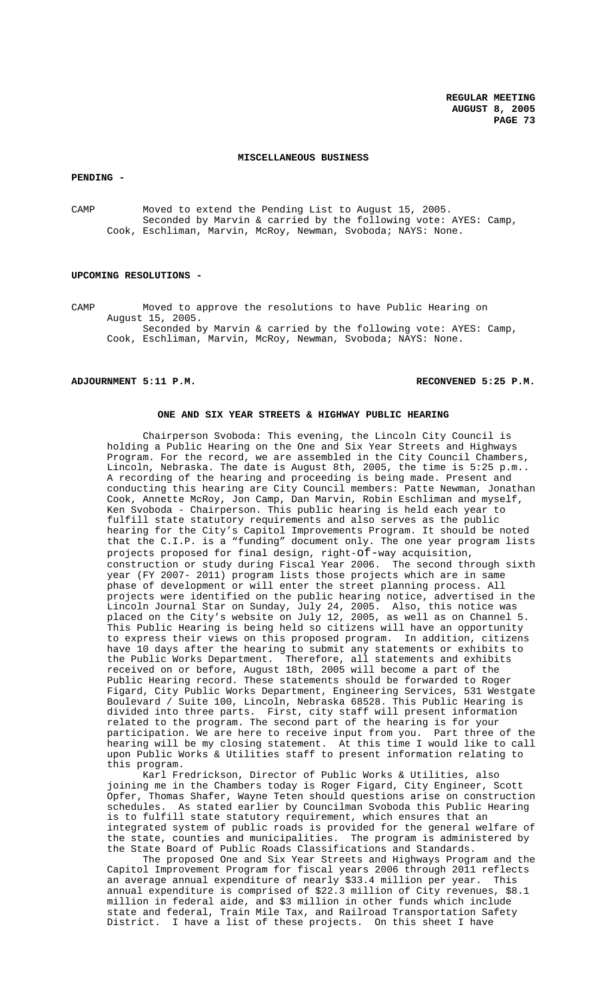### **MISCELLANEOUS BUSINESS**

**PENDING -** 

CAMP Moved to extend the Pending List to August 15, 2005. Seconded by Marvin & carried by the following vote: AYES: Camp, Cook, Eschliman, Marvin, McRoy, Newman, Svoboda; NAYS: None.

#### **UPCOMING RESOLUTIONS -**

CAMP Moved to approve the resolutions to have Public Hearing on August 15, 2005. Seconded by Marvin & carried by the following vote: AYES: Camp, Cook, Eschliman, Marvin, McRoy, Newman, Svoboda; NAYS: None.

## **ADJOURNMENT 5:11 P.M. RECONVENED 5:25 P.M.**

#### **ONE AND SIX YEAR STREETS & HIGHWAY PUBLIC HEARING**

Chairperson Svoboda: This evening, the Lincoln City Council is holding a Public Hearing on the One and Six Year Streets and Highways Program. For the record, we are assembled in the City Council Chambers, Lincoln, Nebraska. The date is August 8th, 2005, the time is 5:25 p.m.. A recording of the hearing and proceeding is being made. Present and conducting this hearing are City Council members: Patte Newman, Jonathan Cook, Annette McRoy, Jon Camp, Dan Marvin, Robin Eschliman and myself, Ken Svoboda - Chairperson. This public hearing is held each year to fulfill state statutory requirements and also serves as the public hearing for the City's Capitol Improvements Program. It should be noted that the C.I.P. is a "funding" document only. The one year program lists projects proposed for final design, right-of-way acquisition, construction or study during Fiscal Year 2006. The second through sixth year (FY 2007- 2011) program lists those projects which are in same phase of development or will enter the street planning process. All projects were identified on the public hearing notice, advertised in the Lincoln Journal Star on Sunday, July 24, 2005. Also, this notice was placed on the City's website on July 12, 2005, as well as on Channel 5. This Public Hearing is being held so citizens will have an opportunity to express their views on this proposed program. In addition, citizens have 10 days after the hearing to submit any statements or exhibits to the Public Works Department. Therefore, all statements and exhibits received on or before, August 18th, 2005 will become a part of the Public Hearing record. These statements should be forwarded to Roger Figard, City Public Works Department, Engineering Services, 531 Westgate Boulevard / Suite 100, Lincoln, Nebraska 68528. This Public Hearing is divided into three parts. First, city staff will present information related to the program. The second part of the hearing is for your participation. We are here to receive input from you. Part three of the hearing will be my closing statement. At this time I would like to call upon Public Works & Utilities staff to present information relating to this program.

Karl Fredrickson, Director of Public Works & Utilities, also joining me in the Chambers today is Roger Figard, City Engineer, Scott Opfer, Thomas Shafer, Wayne Teten should questions arise on construction schedules. As stated earlier by Councilman Svoboda this Public Hearing is to fulfill state statutory requirement, which ensures that an integrated system of public roads is provided for the general welfare of the state, counties and municipalities. The program is administered by the State Board of Public Roads Classifications and Standards.

The proposed One and Six Year Streets and Highways Program and the Capitol Improvement Program for fiscal years 2006 through 2011 reflects an average annual expenditure of nearly \$33.4 million per year. This annual expenditure is comprised of \$22.3 million of City revenues, \$8.1 million in federal aide, and \$3 million in other funds which include state and federal, Train Mile Tax, and Railroad Transportation Safety District. I have a list of these projects. On this sheet I have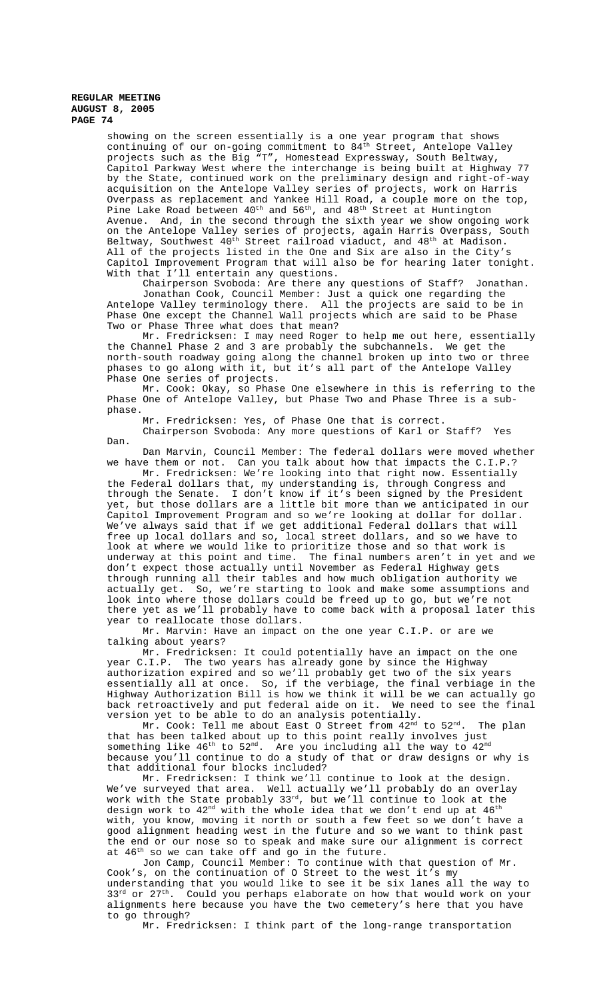showing on the screen essentially is a one year program that shows continuing of our on-going commitment to 84<sup>th</sup> Street, Antelope Valley projects such as the Big "T", Homestead Expressway, South Beltway, Capitol Parkway West where the interchange is being built at Highway 77 by the State, continued work on the preliminary design and right-of-way acquisition on the Antelope Valley series of projects, work on Harris Overpass as replacement and Yankee Hill Road, a couple more on the top, Die Lake Road between  $40^{\text{th}}$  and  $56^{\text{th}}$ , and  $48^{\text{th}}$  Street at Huntington Avenue. And, in the second through the sixth year we show ongoing work on the Antelope Valley series of projects, again Harris Overpass, South Beltway, Southwest  $40^{\text{th}}$  Street railroad viaduct, and  $48^{\text{th}}$  at Madison. All of the projects listed in the One and Six are also in the City's Capitol Improvement Program that will also be for hearing later tonight. With that I'll entertain any questions.

Chairperson Svoboda: Are there any questions of Staff? Jonathan. Jonathan Cook, Council Member: Just a quick one regarding the Antelope Valley terminology there. All the projects are said to be in Phase One except the Channel Wall projects which are said to be Phase Two or Phase Three what does that mean?

Mr. Fredricksen: I may need Roger to help me out here, essentially the Channel Phase 2 and 3 are probably the subchannels. We get the north-south roadway going along the channel broken up into two or three phases to go along with it, but it's all part of the Antelope Valley Phase One series of projects.

Mr. Cook: Okay, so Phase One elsewhere in this is referring to the Phase One of Antelope Valley, but Phase Two and Phase Three is a subphase.

Mr. Fredricksen: Yes, of Phase One that is correct. Chairperson Svoboda: Any more questions of Karl or Staff? Yes Dan.

Dan Marvin, Council Member: The federal dollars were moved whether we have them or not. Can you talk about how that impacts the C.I.P.?

Mr. Fredricksen: We're looking into that right now. Essentially the Federal dollars that, my understanding is, through Congress and through the Senate. I don't know if it's been signed by the President yet, but those dollars are a little bit more than we anticipated in our Capitol Improvement Program and so we're looking at dollar for dollar. We've always said that if we get additional Federal dollars that will free up local dollars and so, local street dollars, and so we have to look at where we would like to prioritize those and so that work is underway at this point and time. The final numbers aren't in yet and we don't expect those actually until November as Federal Highway gets through running all their tables and how much obligation authority we actually get. So, we're starting to look and make some assumptions and look into where those dollars could be freed up to go, but we're not there yet as we'll probably have to come back with a proposal later this year to reallocate those dollars.

Mr. Marvin: Have an impact on the one year C.I.P. or are we talking about years?

Mr. Fredricksen: It could potentially have an impact on the one year C.I.P. The two years has already gone by since the Highway authorization expired and so we'll probably get two of the six years essentially all at once. So, if the verbiage, the final verbiage in the Highway Authorization Bill is how we think it will be we can actually go back retroactively and put federal aide on it. We need to see the final version yet to be able to do an analysis potentially.

Mr. Cook: Tell me about East O Street from  $42^{\mathrm{nd}}$  to  $52^{\mathrm{nd}}.$  The plan that has been talked about up to this point really involves just something like  $46^{\text{th}}$  to  $52^{\text{nd}}$ . Are you including all the way to  $42^{\text{nd}}$ because you'll continue to do a study of that or draw designs or why is that additional four blocks included?

Mr. Fredricksen: I think we'll continue to look at the design. We've surveyed that area. Well actually we'll probably do an overlay work with the State probably 33rd, but we'll continue to look at the design work to  $42^{\text{nd}}$  with the whole idea that we don't end up at  $46^{\text{th}}$ with, you know, moving it north or south a few feet so we don't have a good alignment heading west in the future and so we want to think past the end or our nose so to speak and make sure our alignment is correct at 46<sup>th</sup> so we can take off and go in the future.

Jon Camp, Council Member: To continue with that question of Mr. Cook's, on the continuation of O Street to the west it's my understanding that you would like to see it be six lanes all the way to  $33^{rd}$  or  $27^{th}$ . Could you perhaps elaborate on how that would work on your alignments here because you have the two cemetery's here that you have to go through?

Mr. Fredricksen: I think part of the long-range transportation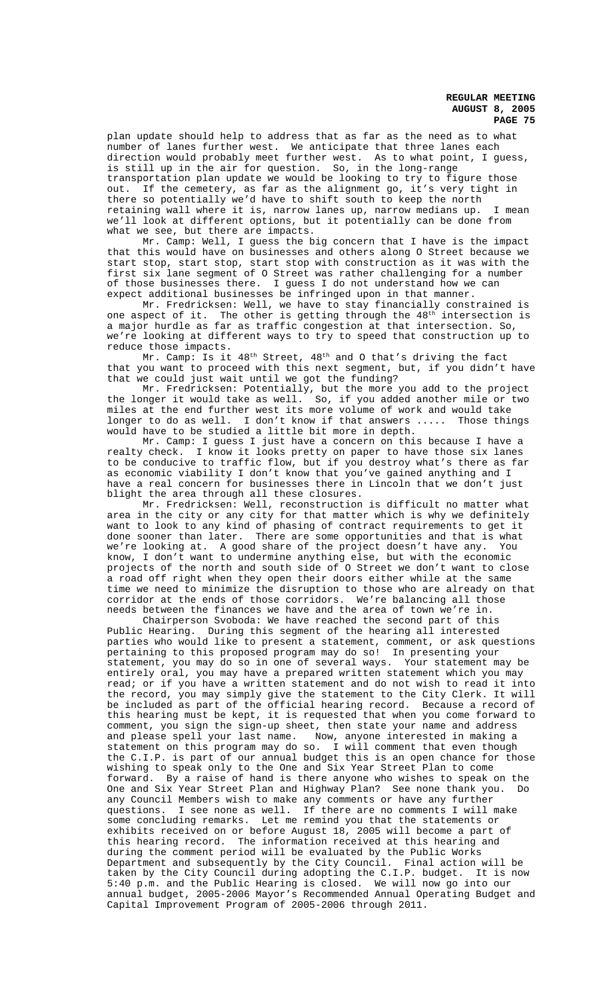plan update should help to address that as far as the need as to what number of lanes further west. We anticipate that three lanes each direction would probably meet further west. As to what point, I guess, is still up in the air for question. So, in the long-range transportation plan update we would be looking to try to figure those out. If the cemetery, as far as the alignment go, it's very tight in there so potentially we'd have to shift south to keep the north retaining wall where it is, narrow lanes up, narrow medians up. I mean we'll look at different options, but it potentially can be done from what we see, but there are impacts.

Mr. Camp: Well, I guess the big concern that I have is the impact that this would have on businesses and others along O Street because we start stop, start stop, start stop with construction as it was with the first six lane segment of O Street was rather challenging for a number of those businesses there. I guess I do not understand how we can expect additional businesses be infringed upon in that manner.

Mr. Fredricksen: Well, we have to stay financially constrained is one aspect of it. The other is getting through the  $48<sup>th</sup>$  intersection is a major hurdle as far as traffic congestion at that intersection. So, we're looking at different ways to try to speed that construction up to reduce those impacts.

Mr. Camp: Is it 48<sup>th</sup> Street, 48<sup>th</sup> and O that's driving the fact that you want to proceed with this next segment, but, if you didn't have that we could just wait until we got the funding?

Mr. Fredricksen: Potentially, but the more you add to the project the longer it would take as well. So, if you added another mile or two miles at the end further west its more volume of work and would take longer to do as well. I don't know if that answers ..... Those things would have to be studied a little bit more in depth.

Mr. Camp: I guess I just have a concern on this because I have a realty check. I know it looks pretty on paper to have those six lanes to be conducive to traffic flow, but if you destroy what's there as far as economic viability I don't know that you've gained anything and I have a real concern for businesses there in Lincoln that we don't just blight the area through all these closures.

Mr. Fredricksen: Well, reconstruction is difficult no matter what area in the city or any city for that matter which is why we definitely want to look to any kind of phasing of contract requirements to get it done sooner than later. There are some opportunities and that is what we're looking at. A good share of the project doesn't have any. You know, I don't want to undermine anything else, but with the economic projects of the north and south side of O Street we don't want to close a road off right when they open their doors either while at the same time we need to minimize the disruption to those who are already on that corridor at the ends of those corridors. We're balancing all those needs between the finances we have and the area of town we're in.

Chairperson Svoboda: We have reached the second part of this Public Hearing. During this segment of the hearing all interested parties who would like to present a statement, comment, or ask questions pertaining to this proposed program may do so! In presenting your statement, you may do so in one of several ways. Your statement may be entirely oral, you may have a prepared written statement which you may read; or if you have a written statement and do not wish to read it into the record, you may simply give the statement to the City Clerk. It will be included as part of the official hearing record. Because a record of this hearing must be kept, it is requested that when you come forward to comment, you sign the sign-up sheet, then state your name and address and please spell your last name. Now, anyone interested in making a statement on this program may do so. I will comment that even though the C.I.P. is part of our annual budget this is an open chance for those wishing to speak only to the One and Six Year Street Plan to come forward. By a raise of hand is there anyone who wishes to speak on the One and Six Year Street Plan and Highway Plan? See none thank you. Do any Council Members wish to make any comments or have any further questions. I see none as well. If there are no comments I will make some concluding remarks. Let me remind you that the statements or exhibits received on or before August 18, 2005 will become a part of this hearing record. The information received at this hearing and during the comment period will be evaluated by the Public Works Department and subsequently by the City Council. Final action will be taken by the City Council during adopting the C.I.P. budget. It is now 5:40 p.m. and the Public Hearing is closed. We will now go into our annual budget, 2005-2006 Mayor's Recommended Annual Operating Budget and Capital Improvement Program of 2005-2006 through 2011.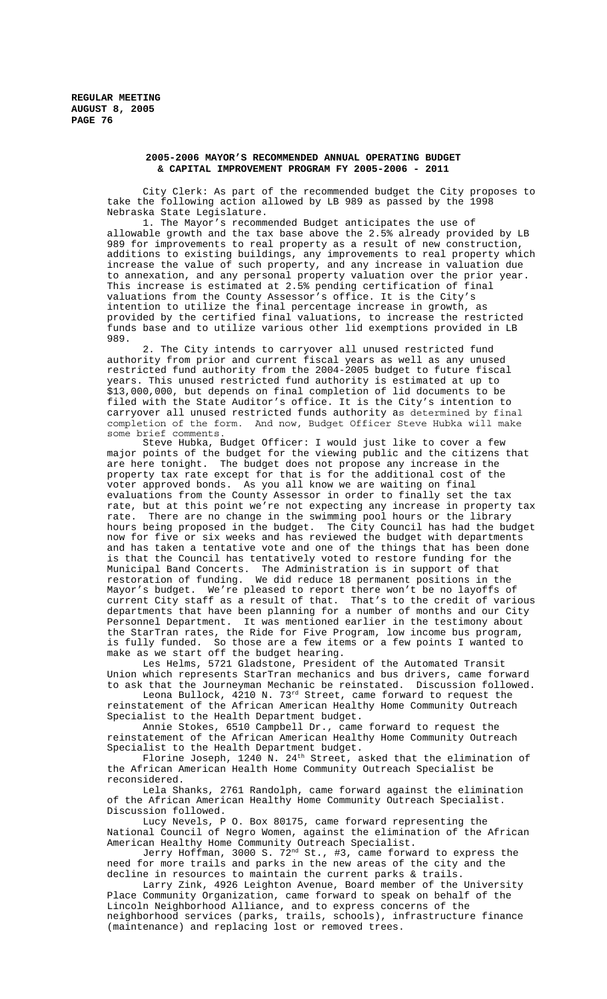# **2005-2006 MAYOR'S RECOMMENDED ANNUAL OPERATING BUDGET & CAPITAL IMPROVEMENT PROGRAM FY 2005-2006 - 2011**

City Clerk: As part of the recommended budget the City proposes to take the following action allowed by LB 989 as passed by the 1998 Nebraska State Legislature.

1. The Mayor's recommended Budget anticipates the use of allowable growth and the tax base above the 2.5% already provided by LB 989 for improvements to real property as a result of new construction, additions to existing buildings, any improvements to real property which increase the value of such property, and any increase in valuation due to annexation, and any personal property valuation over the prior year. This increase is estimated at 2.5% pending certification of final valuations from the County Assessor's office. It is the City's intention to utilize the final percentage increase in growth, as provided by the certified final valuations, to increase the restricted funds base and to utilize various other lid exemptions provided in LB 989.

2. The City intends to carryover all unused restricted fund authority from prior and current fiscal years as well as any unused restricted fund authority from the 2004-2005 budget to future fiscal years. This unused restricted fund authority is estimated at up to \$13,000,000, but depends on final completion of lid documents to be filed with the State Auditor's office. It is the City's intention to carryover all unused restricted funds authority as determined by final completion of the form. And now, Budget Officer Steve Hubka will make some brief comments.

Steve Hubka, Budget Officer: I would just like to cover a few major points of the budget for the viewing public and the citizens that are here tonight. The budget does not propose any increase in the property tax rate except for that is for the additional cost of the voter approved bonds. As you all know we are waiting on final evaluations from the County Assessor in order to finally set the tax rate, but at this point we're not expecting any increase in property tax rate. There are no change in the swimming pool hours or the library hours being proposed in the budget. The City Council has had the budget now for five or six weeks and has reviewed the budget with departments and has taken a tentative vote and one of the things that has been done is that the Council has tentatively voted to restore funding for the Municipal Band Concerts. The Administration is in support of that restoration of funding. We did reduce 18 permanent positions in the Mayor's budget. We're pleased to report there won't be no layoffs of current City staff as a result of that. That's to the credit of various departments that have been planning for a number of months and our City Personnel Department. It was mentioned earlier in the testimony about the StarTran rates, the Ride for Five Program, low income bus program, is fully funded. So those are a few items or a few points I wanted to make as we start off the budget hearing.

Les Helms, 5721 Gladstone, President of the Automated Transit Union which represents StarTran mechanics and bus drivers, came forward to ask that the Journeyman Mechanic be reinstated. Discussion followed.

Leona Bullock, 4210 N. 73<sup>rd</sup> Street, came forward to request the reinstatement of the African American Healthy Home Community Outreach Specialist to the Health Department budget.

Annie Stokes, 6510 Campbell Dr., came forward to request the reinstatement of the African American Healthy Home Community Outreach Specialist to the Health Department budget.

Florine Joseph, 1240 N. 24<sup>th</sup> Street, asked that the elimination of the African American Health Home Community Outreach Specialist be reconsidered.

Lela Shanks, 2761 Randolph, came forward against the elimination of the African American Healthy Home Community Outreach Specialist. Discussion followed.

Lucy Nevels, P O. Box 80175, came forward representing the National Council of Negro Women, against the elimination of the African American Healthy Home Community Outreach Specialist.

Jerry Hoffman, 3000 S. 72nd St., #3, came forward to express the need for more trails and parks in the new areas of the city and the decline in resources to maintain the current parks & trails.

Larry Zink, 4926 Leighton Avenue, Board member of the University Place Community Organization, came forward to speak on behalf of the Lincoln Neighborhood Alliance, and to express concerns of the neighborhood services (parks, trails, schools), infrastructure finance (maintenance) and replacing lost or removed trees.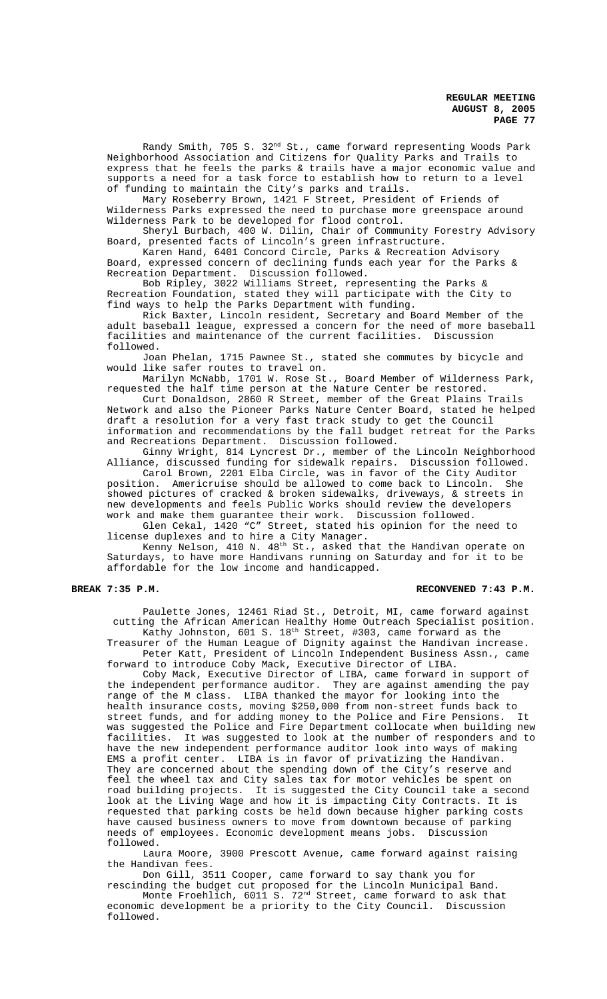Randy Smith, 705 S. 32nd St., came forward representing Woods Park Neighborhood Association and Citizens for Quality Parks and Trails to express that he feels the parks & trails have a major economic value and supports a need for a task force to establish how to return to a level of funding to maintain the City's parks and trails.

Mary Roseberry Brown, 1421 F Street, President of Friends of Wilderness Parks expressed the need to purchase more greenspace around Wilderness Park to be developed for flood control.

Sheryl Burbach, 400 W. Dilin, Chair of Community Forestry Advisory Board, presented facts of Lincoln's green infrastructure.

Karen Hand, 6401 Concord Circle, Parks & Recreation Advisory Board, expressed concern of declining funds each year for the Parks  $\&$ Recreation Department. Discussion followed.

Bob Ripley, 3022 Williams Street, representing the Parks & Recreation Foundation, stated they will participate with the City to find ways to help the Parks Department with funding.

Rick Baxter, Lincoln resident, Secretary and Board Member of the adult baseball league, expressed a concern for the need of more baseball facilities and maintenance of the current facilities. Discussion followed.

Joan Phelan, 1715 Pawnee St., stated she commutes by bicycle and would like safer routes to travel on.

Marilyn McNabb, 1701 W. Rose St., Board Member of Wilderness Park, requested the half time person at the Nature Center be restored.

Curt Donaldson, 2860 R Street, member of the Great Plains Trails Network and also the Pioneer Parks Nature Center Board, stated he helped draft a resolution for a very fast track study to get the Council information and recommendations by the fall budget retreat for the Parks and Recreations Department. Discussion followed.

Ginny Wright, 814 Lyncrest Dr., member of the Lincoln Neighborhood Alliance, discussed funding for sidewalk repairs. Discussion followed.

Carol Brown, 2201 Elba Circle, was in favor of the City Auditor position. Americruise should be allowed to come back to Lincoln. She showed pictures of cracked & broken sidewalks, driveways, & streets in new developments and feels Public Works should review the developers work and make them guarantee their work. Discussion followed.

Glen Cekal, 1420 "C" Street, stated his opinion for the need to license duplexes and to hire a City Manager.

Kenny Nelson, 410 N. 48th St., asked that the Handivan operate on Saturdays, to have more Handivans running on Saturday and for it to be affordable for the low income and handicapped.

### **BREAK 7:35 P.M. RECONVENED 7:43 P.M.**

Paulette Jones, 12461 Riad St., Detroit, MI, came forward against cutting the African American Healthy Home Outreach Specialist position. Kathy Johnston, 601 S. 18<sup>th</sup> Street, #303, came forward as the Treasurer of the Human League of Dignity against the Handivan increase.

Peter Katt, President of Lincoln Independent Business Assn., came forward to introduce Coby Mack, Executive Director of LIBA.

Coby Mack, Executive Director of LIBA, came forward in support of the independent performance auditor. They are against amending the pay range of the M class. LIBA thanked the mayor for looking into the health insurance costs, moving \$250,000 from non-street funds back to street funds, and for adding money to the Police and Fire Pensions. It was suggested the Police and Fire Department collocate when building new facilities. It was suggested to look at the number of responders and to have the new independent performance auditor look into ways of making EMS a profit center. LIBA is in favor of privatizing the Handivan. They are concerned about the spending down of the City's reserve and feel the wheel tax and City sales tax for motor vehicles be spent on road building projects. It is suggested the City Council take a second look at the Living Wage and how it is impacting City Contracts. It is requested that parking costs be held down because higher parking costs have caused business owners to move from downtown because of parking needs of employees. Economic development means jobs. Discussion followed.

Laura Moore, 3900 Prescott Avenue, came forward against raising the Handivan fees.

Don Gill, 3511 Cooper, came forward to say thank you for rescinding the budget cut proposed for the Lincoln Municipal Band.

Monte Froehlich, 6011 S. 72<sup>nd</sup> Street, came forward to ask that economic development be a priority to the City Council. Discussion followed.